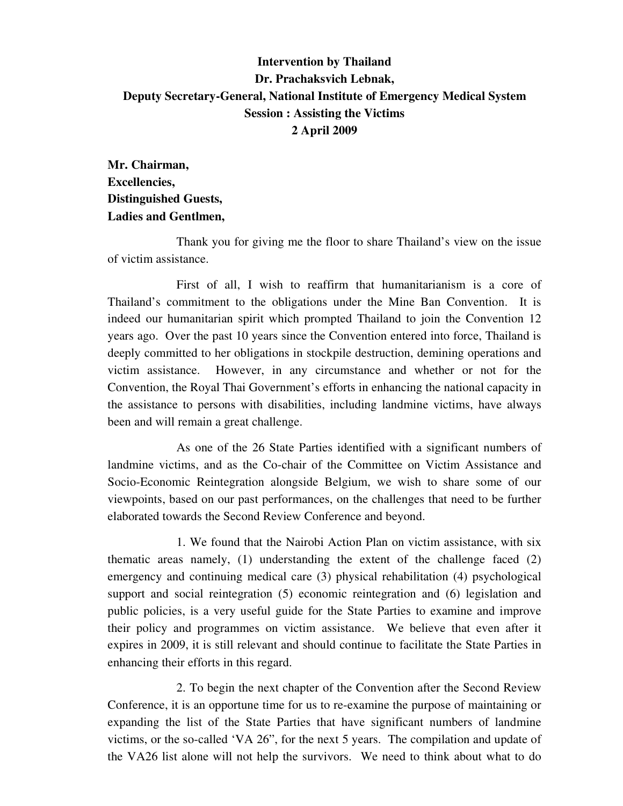## **Intervention by Thailand Dr. Prachaksvich Lebnak, Deputy Secretary-General, National Institute of Emergency Medical System Session : Assisting the Victims 2 April 2009**

**Mr. Chairman, Excellencies, Distinguished Guests, Ladies and Gentlmen,** 

 Thank you for giving me the floor to share Thailand's view on the issue of victim assistance.

 First of all, I wish to reaffirm that humanitarianism is a core of Thailand's commitment to the obligations under the Mine Ban Convention. It is indeed our humanitarian spirit which prompted Thailand to join the Convention 12 years ago. Over the past 10 years since the Convention entered into force, Thailand is deeply committed to her obligations in stockpile destruction, demining operations and victim assistance. However, in any circumstance and whether or not for the Convention, the Royal Thai Government's efforts in enhancing the national capacity in the assistance to persons with disabilities, including landmine victims, have always been and will remain a great challenge.

 As one of the 26 State Parties identified with a significant numbers of landmine victims, and as the Co-chair of the Committee on Victim Assistance and Socio-Economic Reintegration alongside Belgium, we wish to share some of our viewpoints, based on our past performances, on the challenges that need to be further elaborated towards the Second Review Conference and beyond.

 1. We found that the Nairobi Action Plan on victim assistance, with six thematic areas namely, (1) understanding the extent of the challenge faced (2) emergency and continuing medical care (3) physical rehabilitation (4) psychological support and social reintegration (5) economic reintegration and (6) legislation and public policies, is a very useful guide for the State Parties to examine and improve their policy and programmes on victim assistance. We believe that even after it expires in 2009, it is still relevant and should continue to facilitate the State Parties in enhancing their efforts in this regard.

 2. To begin the next chapter of the Convention after the Second Review Conference, it is an opportune time for us to re-examine the purpose of maintaining or expanding the list of the State Parties that have significant numbers of landmine victims, or the so-called 'VA 26", for the next 5 years. The compilation and update of the VA26 list alone will not help the survivors. We need to think about what to do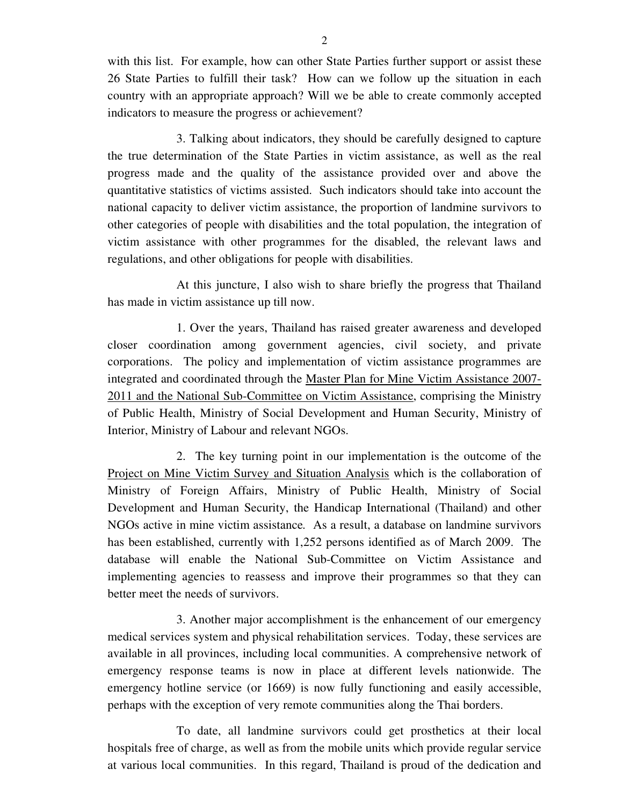with this list. For example, how can other State Parties further support or assist these 26 State Parties to fulfill their task? How can we follow up the situation in each country with an appropriate approach? Will we be able to create commonly accepted indicators to measure the progress or achievement?

 3. Talking about indicators, they should be carefully designed to capture the true determination of the State Parties in victim assistance, as well as the real progress made and the quality of the assistance provided over and above the quantitative statistics of victims assisted. Such indicators should take into account the national capacity to deliver victim assistance, the proportion of landmine survivors to other categories of people with disabilities and the total population, the integration of victim assistance with other programmes for the disabled, the relevant laws and regulations, and other obligations for people with disabilities.

 At this juncture, I also wish to share briefly the progress that Thailand has made in victim assistance up till now.

 1. Over the years, Thailand has raised greater awareness and developed closer coordination among government agencies, civil society, and private corporations. The policy and implementation of victim assistance programmes are integrated and coordinated through the Master Plan for Mine Victim Assistance 2007- 2011 and the National Sub-Committee on Victim Assistance, comprising the Ministry of Public Health, Ministry of Social Development and Human Security, Ministry of Interior, Ministry of Labour and relevant NGOs.

 2. The key turning point in our implementation is the outcome of the Project on Mine Victim Survey and Situation Analysis which is the collaboration of Ministry of Foreign Affairs, Ministry of Public Health, Ministry of Social Development and Human Security, the Handicap International (Thailand) and other NGOs active in mine victim assistance*.* As a result, a database on landmine survivors has been established, currently with 1,252 persons identified as of March 2009. The database will enable the National Sub-Committee on Victim Assistance and implementing agencies to reassess and improve their programmes so that they can better meet the needs of survivors.

 3. Another major accomplishment is the enhancement of our emergency medical services system and physical rehabilitation services. Today, these services are available in all provinces, including local communities. A comprehensive network of emergency response teams is now in place at different levels nationwide. The emergency hotline service (or 1669) is now fully functioning and easily accessible, perhaps with the exception of very remote communities along the Thai borders.

 To date, all landmine survivors could get prosthetics at their local hospitals free of charge, as well as from the mobile units which provide regular service at various local communities. In this regard, Thailand is proud of the dedication and